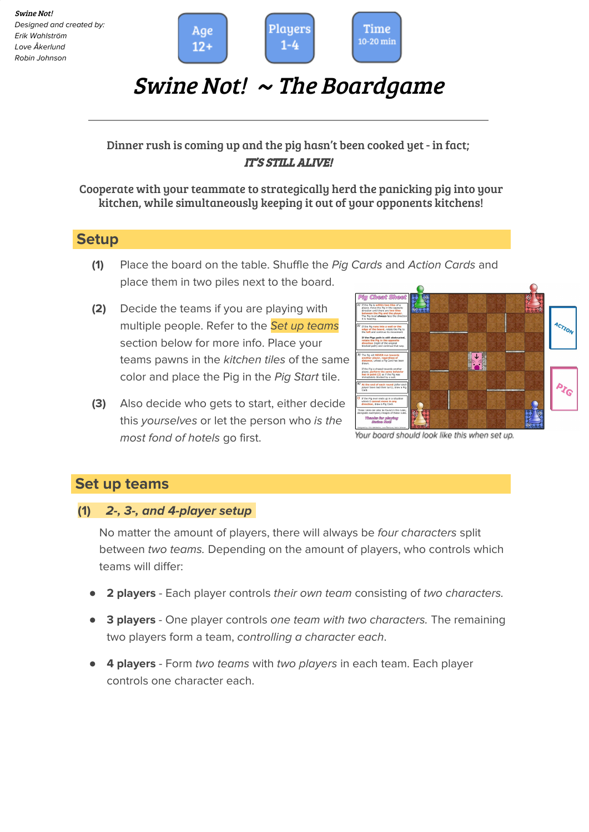

# Swine Not! <sup>~</sup> The Boardgame

# Dinner rush is coming up and the pig hasn't been cooked yet - in fact; IT'S STILL ALIVE!

#### Cooperate with your teammate to strategically herd the panicking pig into your kitchen, while simultaneously keeping it out of your opponents kitchens!

# $\textsf{Setup}-\dots-\dots-\dots-\dots-\dots-\dots-\dots-\dots-\dots-\dots-\dots$

- **(1)** Place the board on the table. Shuffle the Pig Cards and Action Cards and place them in two piles next to the board.
- **(2)** Decide the teams if you are playing with multiple people. Refer to the Set up teams section below for more info. Place your teams pawns in the kitchen tiles of the same color and place the Pig in the Pig Start tile.
- **(3)** Also decide who gets to start, either decide this yourselves or let the person who is the most fond of hotels go first.



Your board should look like this when set up.

# **Set** up teams

## **(1) 2-, 3-, and 4-player setup-**

No matter the amount of players, there will always be four characters split between two teams. Depending on the amount of players, who controls which teams will differ:

- **2 players** Each player controls their own team consisting of two characters.
- **3 players** One player controls one team with two characters. The remaining two players form a team, controlling a character each.
- **4 players** Form two teams with two players in each team. Each player controls one character each.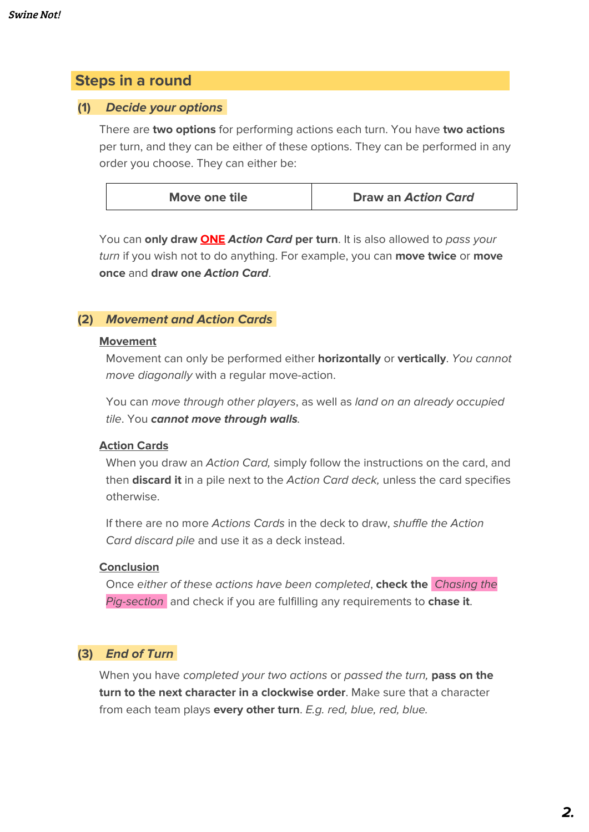# **Steps** in a round

#### **(1) Decide your options-**

There are **two options** for performing actions each turn. You have **two actions** per turn, and they can be either of these options. They can be performed in any order you choose. They can either be:

| Move one tile | Draw an Action Card |
|---------------|---------------------|
|               |                     |

You can **only draw ONE Action Card per turn**. It is also allowed to pass your turn if you wish not to do anything. For example, you can **move twice** or **move once** and **draw one Action Card**.

#### **(2) Movement and Action Cards-**

#### **Movement**

Movement can only be performed either **horizontally** or **vertically**. You cannot move diagonally with a regular move-action.

You can move through other players, as well as land on an already occupied tile. You **cannot move through walls**.

#### **Action Cards**

When you draw an Action Card, simply follow the instructions on the card, and then **discard it** in a pile next to the Action Card deck, unless the card specifies otherwise.

If there are no more Actions Cards in the deck to draw, shuffle the Action Card discard pile and use it as a deck instead.

#### **Conclusion**

Once either of these actions have been completed, **check the** Chasing the Pig-section- and check if you are fulfilling any requirements to **chase it**.

## **(3) End of Turn-**

When you have completed your two actions or passed the turn, **pass on the turn to the next character in a clockwise order**. Make sure that a character from each team plays **every other turn**. E.g. red, blue, red, blue.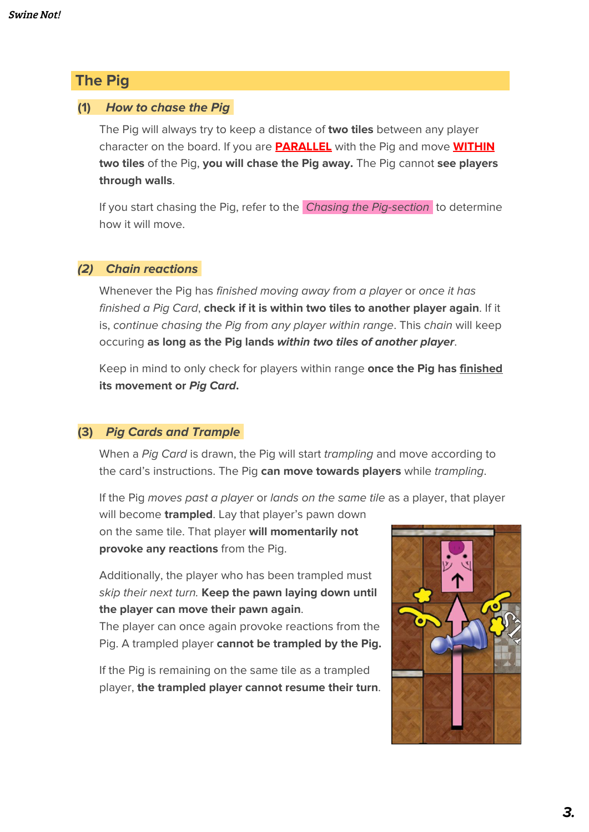# **The Pig**

## **(1) How to chase the Pig-**

The Pig will always try to keep a distance of **two tiles** between any player character on the board. If you are **PARALLEL** with the Pig and move **WITHIN two tiles** of the Pig, **you will chase the Pig away.** The Pig cannot **see players through walls**.

If you start chasing the Pig, refer to the *Chasing the Pig-section* to determine how it will move.

## **(2) Chain reactions-**

Whenever the Pig has finished moving away from a player or once it has finished a Pig Card, **check if it is within two tiles to another player again**. If it is, continue chasing the Pig from any player within range. This chain will keep occuring **as long as the Pig lands within two tiles of another player**.

Keep in mind to only check for players within range **once the Pig has finished its movement or Pig Card.**

## **(3) Pig Cards and Trample-**

When a Pig Card is drawn, the Pig will start trampling and move according to the card's instructions. The Pig **can move towards players** while trampling.

If the Pig moves past a player or lands on the same tile as a player, that player

will become **trampled**. Lay that player's pawn down on the same tile. That player **will momentarily not provoke any reactions** from the Pig.

Additionally, the player who has been trampled must skip their next turn. **Keep the pawn laying down until the player can move their pawn again**.

The player can once again provoke reactions from the Pig. A trampled player **cannot be trampled by the Pig.**

If the Pig is remaining on the same tile as a trampled player, **the trampled player cannot resume their turn**.

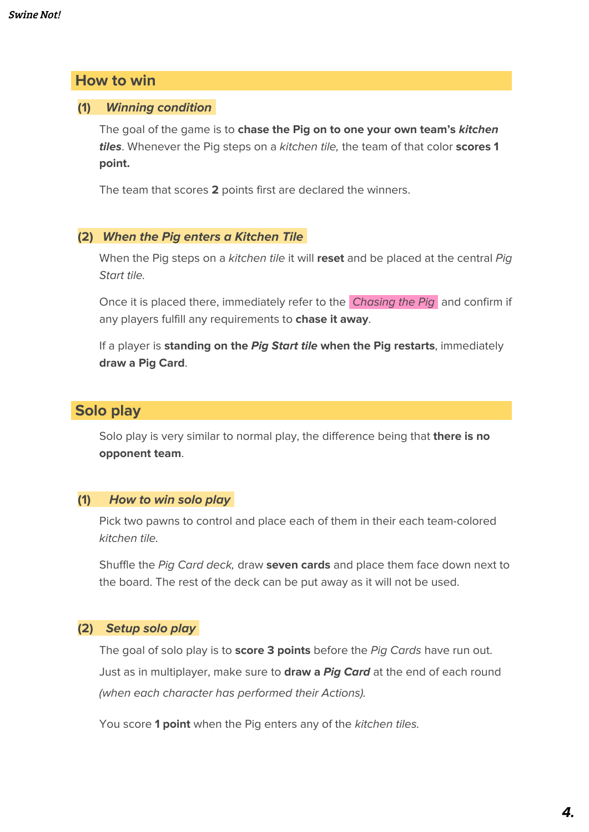## **How to win**

#### **(1) Winning condition-**

The goal of the game is to **chase the Pig on to one your own team's kitchen tiles**. Whenever the Pig steps on a kitchen tile, the team of that color **scores 1 point.**

The team that scores **2** points first are declared the winners.

#### **(2) When the Pig enters a Kitchen Tile-**

When the Pig steps on a kitchen tile it will **reset** and be placed at the central Pig Start tile.

Once it is placed there, immediately refer to the Chasing the Pig and confirm if any players fulfill any requirements to **chase it away**.

If a player is **standing on the Pig Start tile when the Pig restarts**, immediately **draw a Pig Card**.

# $Solo$  play

Solo play is very similar to normal play, the difference being that **there is no opponent team**.

#### **(1) How to win solo play-**

Pick two pawns to control and place each of them in their each team-colored kitchen tile.

Shuffle the Pig Card deck, draw **seven cards** and place them face down next to the board. The rest of the deck can be put away as it will not be used.

## **(2) Setup solo play-**

The goal of solo play is to **score 3 points** before the Pig Cards have run out. Just as in multiplayer, make sure to **draw a Pig Card** at the end of each round (when each character has performed their Actions).

You score **1 point** when the Pig enters any of the kitchen tiles.